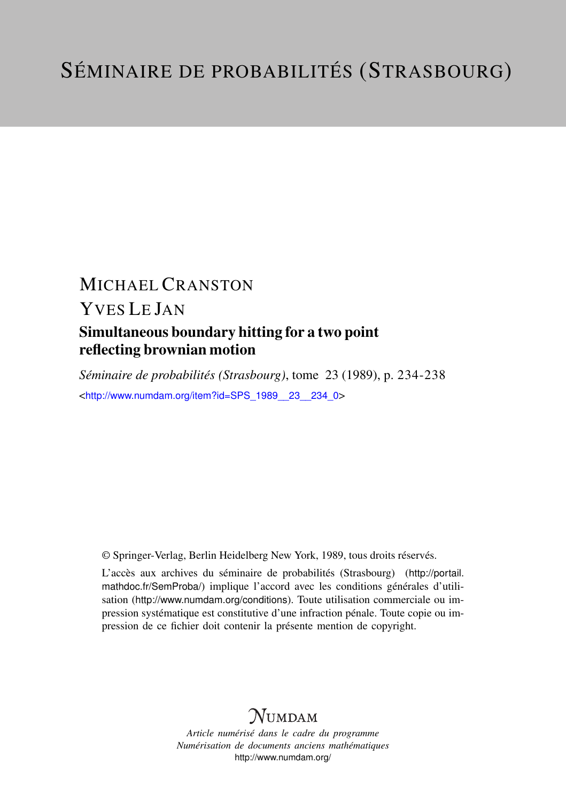## MICHAEL CRANSTON YVES LE JAN Simultaneous boundary hitting for a two point reflecting brownian motion

*Séminaire de probabilités (Strasbourg)*, tome 23 (1989), p. 234-238 <[http://www.numdam.org/item?id=SPS\\_1989\\_\\_23\\_\\_234\\_0](http://www.numdam.org/item?id=SPS_1989__23__234_0)>

© Springer-Verlag, Berlin Heidelberg New York, 1989, tous droits réservés.

L'accès aux archives du séminaire de probabilités (Strasbourg) ([http://portail.](http://portail.mathdoc.fr/SemProba/) [mathdoc.fr/SemProba/](http://portail.mathdoc.fr/SemProba/)) implique l'accord avec les conditions générales d'utilisation (<http://www.numdam.org/conditions>). Toute utilisation commerciale ou impression systématique est constitutive d'une infraction pénale. Toute copie ou impression de ce fichier doit contenir la présente mention de copyright.

## **NUMDAM**

*Article numérisé dans le cadre du programme Numérisation de documents anciens mathématiques* <http://www.numdam.org/>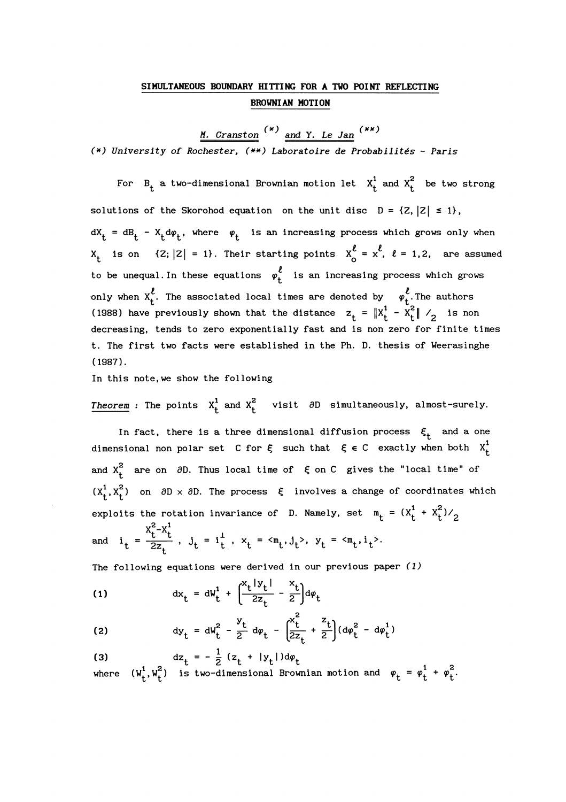## SIMULTANEOUS BOUNDARY HITTING FOR A TWO POINT REFLECTING BROWNIAN MOTION

<u>M. Cranston</u>  $(*)$  and Y. Le Jan  $(**)$ (\*) University of Rochester, Laboratoire de Probabilités - Paris

For  $B_t$  a two-dimensional Brownian motion let  $X_t^1$  and  $X_t^2$  be two strong solutions of the Skorohod equation on the unit disc  $D = \{Z, |Z| \leq 1\}$ ,  $dX_t = dB_t - X_t d\varphi_t$ , where  $\varphi_t$  is an increasing process which grows only when  $X_t$  is on  $\{Z; |Z| = 1\}$ . Their starting points  $X_0^{\ell} = x^{\ell}$ ,  $\ell = 1, 2$ , are assumed to be unequal. In these equations  $\varphi_t^{\ell}$  is an increasing process which grows only when  $x_+^{\ell}$ . The associated local times are denoted by  $\varphi_+^{\ell}$ . The authors (1988) have previously shown that the distance  $z_t = \|X_t^1 - X_t^2\|$  /<sub>2</sub> is non decreasing, tends to zero exponentially fast and is non zero for finite times t. The first two facts were established in the Ph. D. thesis of Weerasinghe (1987).

In this note,we show the following

Theorem : The points  $X_t^1$  and  $X_t^2$  visit  $\partial D$  simultaneously, almost-surely.

In fact, there is a three dimensional diffusion process  $\xi_+$  and a one dimensional non polar set C for  $\xi$  such that  $~ \xi \in C ~$  exactly when both  $~ X_t^1$ and  $X_t^2$  are on  $\partial D$ . Thus local time of  $\xi$  on C gives the "local time" of  $(X^{1}_{+}, X^{2}_{+})$  on  $\partial D \times \partial D$ . The process  $\xi$  involves a change of coordinates which exploits the rotation invariance of D. Namely, set  $m_t = (x_t^1 + x_t^2)/2$ and  $i_t = \frac{x_t^2 - x_t^2}{2z_t}$ ,  $j_t = i_t^1$ ,  $x_t = \langle m_t, j_t \rangle$ ,  $y_t = \langle m_t, i_t \rangle$ .

The following equations were derived in our previous paper (1)

(1) 
$$
dx_t = dW_t^1 + \left(\frac{x_t|y_t|}{2z_t} - \frac{x_t}{2}\right) d\varphi_t
$$

(2) 
$$
dy_t = dW_t^2 - \frac{y_t}{2} d\varphi_t - \left(\frac{x_t^2}{2z_t} + \frac{z_t}{2}\right) (d\varphi_t^2 - d\varphi_t^1)
$$

(3) 
$$
dz_t = -\frac{1}{2}(z_t + |y_t|)d\varphi_t
$$
  
where  $(W_t^1, W_t^2)$  is two-dimensional Brownian motion and  $\varphi_t = \varphi_t^1 + \varphi_t^2$ .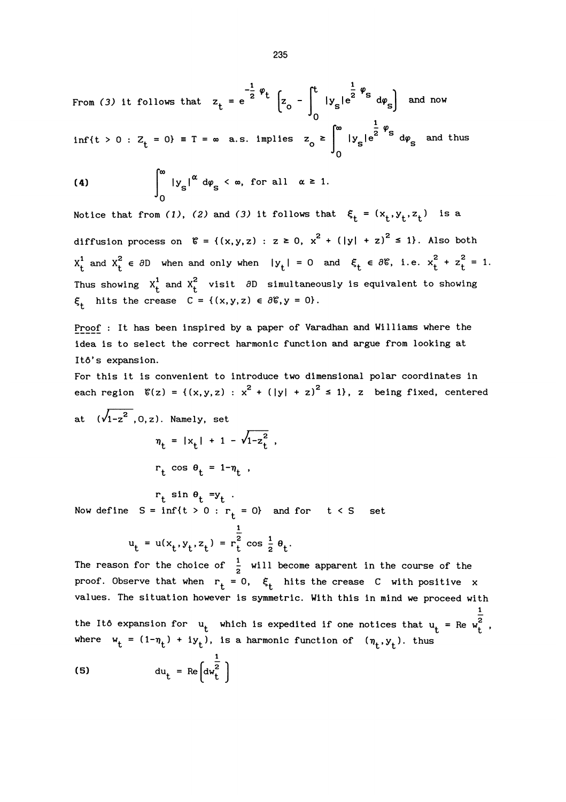From (3) it follows that  $z_t = e^{-\frac{1}{2} \varphi_t} \left[ z_o - \int_0^t |y_s| e^{-\frac{1}{2} \varphi_s} d\varphi_s \right]$  and now 0<br> $\int_{0}^{\infty}$   $\frac{1}{2}$   $\varphi$  $\inf\{t>0: Z_t^0=0\} = T = \infty$  a.s. implies  $z_0 \geq \int_0^t |y_s|e^{z^0} d\varphi_s$  and thus

(4) 
$$
\int_{0}^{\infty} |y_{S}|^{\alpha} d\varphi_{S} < \infty, \text{ for all } \alpha \geq 1.
$$

Notice that from (1), (2) and (3) it follows that  $\xi_t = (x_t, y_t, z_t)$  is a diffusion process on  $C = \{(x,y,z) : z \ge 0, x^2 + (|y| + z)^2 \le 1\}$ . Also both  $X_t^1$  and  $X_t^2 \in \partial D$  when and only when  $|y_t| = 0$  and  $\xi_t \in \partial \mathcal{E}$ , i.e.  $x_t^2 + z_t^2 = 1$ . Thus showing  $x_t^1$  and  $x_t^2$  visit  $\partial D$  simultaneously is equivalent to showing  $\xi_{+}$  hits the crease  $C = \{(x,y,z) \in \partial \mathcal{C}, y = 0\}$ .

Proof : It has been inspired by a paper of Varadhan and Williams where the idea is to select the correct harmonic function and argue from looking at It6's expansion.

For this it is convenient to introduce two dimensional polar coordinates in each region  $\mathcal{E}(z) = \{(x,y,z) : x^2 + (|y| + z)^2 \le 1\}$ , z being fixed, centered

at 
$$
(\sqrt{1-z^2}, 0, z)
$$
. Namely, set  
\n
$$
\eta_t = |x_t| + 1 - \sqrt{1-z_t^2},
$$
\n
$$
r_t \cos \theta_t = 1 - \eta_t,
$$
\n
$$
r_t \sin \theta_t = y_t.
$$

Now define  $S = \inf\{t > 0 : r_t = 0\}$  and for  $t < S$  set

$$
u_t = u(x_t, y_t, z_t) = r_t^{\frac{1}{2}} \cos \frac{1}{2} \theta_t.
$$

The reason for the choice of  $\frac{1}{2}$  will become apparent in the course of the proof. Observe that when  $r_t = 0$ ,  $\xi_t$  hits the crease C with positive x values. The situation however is symmetric. With this in mind we proceed with i the Itô expansion for  $u_t$  which is expedited if one notices that  $u_t = \text{Re } w_t^2$ ,<br>where  $w_t = (1 - \eta_t) + iy_t$ , is a harmonic function of  $(\eta_t, y_t)$ , thus

where 
$$
w_t = (1 - \eta_t) + iy_t
$$
, is a harmonic function of  $(\eta_t, y_t)$ . thus

$$
\text{(5)} \quad \text{du}_{\text{t}} = \text{Re}\left[\text{du}_{\text{t}}^{\frac{1}{2}}\right]
$$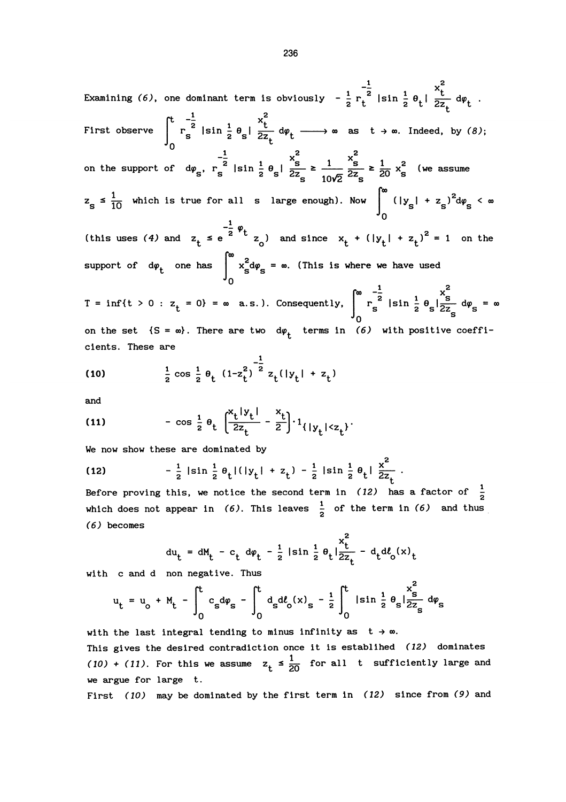Examining (6), one dominant term is obviously  $-\frac{1}{2}r_t^{-\frac{1}{2}}$  |sin  $\frac{1}{2}\theta_t$  |  $\frac{x_t^2}{2z_t}$  d $\varphi_t$  . First observe  $\begin{bmatrix} t & -\frac{1}{2} \\ r_s^2 & \sin \frac{1}{2} \theta_s \end{bmatrix} \frac{x_t^2}{2z_t} d\varphi_t \longrightarrow \infty$  as  $t \to \infty$ . Indeed, by (8); on the support of  $d\varphi_{\rm s}$ ,  $r_{\rm s}$ <sup>2</sup> |sin  $\frac{1}{2}$   $\theta_{\rm s}$  |  $\frac{3}{27}$   $\geq$   $\frac{1}{27}$   $\geq$   $\frac{3}{20}$   $x_{\rm s}$  (we assume  $z_{\rm s} \le \frac{1}{10}$  which is true for all s large enough). Now  $( |y_{\rm s}| + z_{\rm s})^2 d\varphi_{\rm s} < \infty$ (this uses  $(4)$  and  $z_t \le e$  $\mathsf{I}_{\mathsf{2}}^{\mathsf{2}}$   $\mathsf{\varphi_{t}}^{\mathsf{2}}$  .  $z_0$ ) and since  $x_t + (|y_t| + z_t)^2 = 1$  on the support of  $d\varphi_t$  one has  $\int_{s}^{\infty} x_s^2 d\varphi_s = \infty$ . (This is where we have used T = inf(t > 0 : z<sub>t</sub> = 0} = ∞ a.s.). Consequently,  $\int_0^{\frac{\pi}{5}} \int_0^{\frac{\pi}{2}} \frac{1}{2z} \theta_s \frac{s}{z} \frac{1}{z} \frac{3}{z} \theta_g = \infty$ on the set  ${S = \omega}$ . There are two  $d\varphi_t$  terms in (6) with positive coeffi-

(10) 
$$
\frac{1}{2} \cos \frac{1}{2} \theta_t (1 - z_t^2)^{-\frac{1}{2}} z_t (|y_t| + z_t)
$$

and

cients. These are

(11) 
$$
- \cos \frac{1}{2} \theta_t \left[ \frac{x_t |y_t|}{2z_t} - \frac{x_t}{2} \right] \cdot 1_{\{ |y_t| < z_t \}}.
$$

We now show these are dominated by

(12) 
$$
-\frac{1}{2}|\sin{\frac{1}{2}}\theta_t|(|y_t| + z_t) - \frac{1}{2}|\sin{\frac{1}{2}}\theta_t| \frac{x^2}{2z_t}.
$$

Before proving this, we notice the second term in (12) has a factor of  $\frac{1}{2}$ which does not appear in (6). This leaves  $\frac{1}{2}$  of the term in (6) and thus (6) becomes

$$
du_t = dM_t - c_t d\varphi_t - \frac{1}{2} |\sin \frac{1}{2} \theta_t| \frac{x_t^2}{2z_t} - d_t d\ell_0(x)_t
$$

with c and d non negative. Thus

$$
u_{t} = u_{0} + M_{t} - \int_{0}^{t} c_{s} d\varphi_{s} - \int_{0}^{t} d_{s} d\ell_{0}(x)_{s} - \frac{1}{2} \int_{0}^{t} |\sin \frac{1}{2} \theta_{s}| \frac{x_{s}^{2}}{2z_{s}} d\varphi_{s}
$$

with the last integral tending to minus infinity as  $t \rightarrow \infty$ . This gives the desired contradiction once it is establihed (12) dominates (10) + (11). For this we assume  $z_t \leq \frac{1}{20}$  for all t sufficiently large and we argue for large t.

First (10) may be dominated by the first term in (12) since from (9) and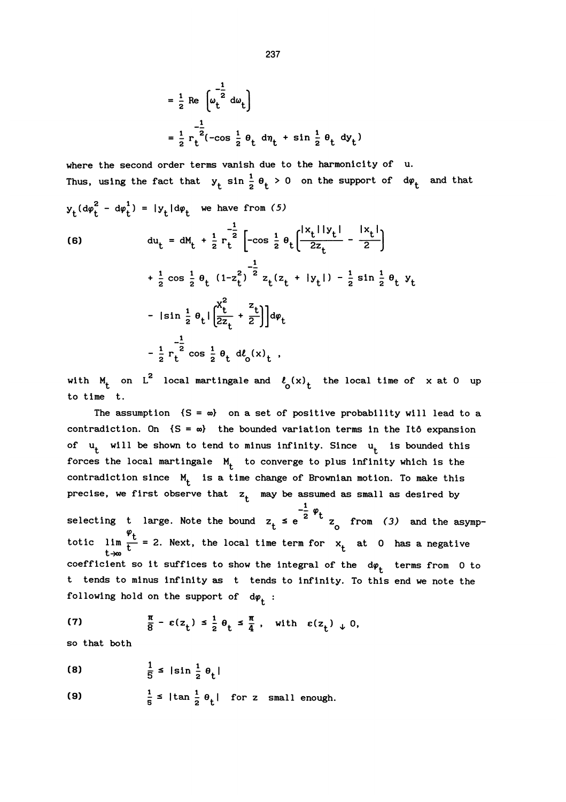$$
= \frac{1}{2} \text{ Re } \left[ \omega_t^{\frac{1}{2}} d\omega_t \right]
$$
  

$$
= \frac{1}{2} r_t^{\frac{1}{2}} (-\cos \frac{1}{2} \theta_t d\eta_t + \sin \frac{1}{2} \theta_t d\eta_t)
$$

where the second order terms vanish due to the harmonicity of u. Thus, using the fact that  $y_t \sin \frac{1}{2} \theta_t > 0$  on the support of  $d\varphi_t$  and that  $y \cdot (d\varphi_t^2 - d\varphi_t^1) = |y_t| d\varphi_t$  we have from (5)

(6)  
\n
$$
du_{t} = dM_{t} + \frac{1}{2} r_{t}^{-\frac{1}{2}} \left[ -\cos \frac{1}{2} \theta_{t} \left( \frac{|x_{t}| |y_{t}|}{2z_{t}} - \frac{|x_{t}|}{2} \right) + \frac{1}{2} \cos \frac{1}{2} \theta_{t} (1 - z_{t}^{2})^{-\frac{1}{2}} z_{t} (z_{t} + |y_{t}|) - \frac{1}{2} \sin \frac{1}{2} \theta_{t} y_{t} - \left| \sin \frac{1}{2} \theta_{t} \right| \left( \frac{x_{t}^{2}}{2z_{t}} + \frac{z_{t}}{2} \right) \right] d\varphi_{t}
$$
\n
$$
- \frac{1}{2} r_{t}^{-\frac{1}{2}} \cos \frac{1}{2} \theta_{t} d\zeta(x)_{t},
$$

with  $M_t$  on L<sup>2</sup> local martingale and  $\ell_o(x)_t$  the local time of x at 0 up to time t.

The assumption  ${S = \omega}$  on a set of positive probability will lead to a contradiction. On  $\{S = \omega\}$  the bounded variation terms in the Itô expansion of  $u_t$  will be shown to tend to minus infinity. Since  $u_t$  is bounded this forces the local martingale  $M_t$  to converge to plus infinity which is the contradiction since  $M_t$  is a time change of Brownian motion. To make this precise, we first observe that  $z_t$  may be assumed as small as desired by

\_1 selecting t large. Note the bound  $z_t \le e$  $-\frac{1}{2}$   $\varphi$ <sub>t</sub>  $z<sub>o</sub>$  from (3) and the asymptotic lim  $\frac{\varphi_t}{t} = 2$ . Next, the local time term for  $x_t$  at 0 has a negative coefficient so it suffices to show the integral of the  $d\varphi_t$  terms from 0 to t tends to minus infinity as t tends to infinity. To this end we note the following hold on the support of  $d\varphi_t$ :

(7) 
$$
\frac{\pi}{8} - \varepsilon(z_t) \leq \frac{1}{2} \theta_t \leq \frac{\pi}{4}
$$
, with  $\varepsilon(z_t) \downarrow 0$ ,

so that both

$$
(8) \qquad \qquad \frac{1}{5} \leq |\sin \frac{1}{2} \theta_t|
$$

(9)  $\frac{1}{5}$   $\leq$   $|\tan \frac{1}{2} \theta_t|$  for z small enough.